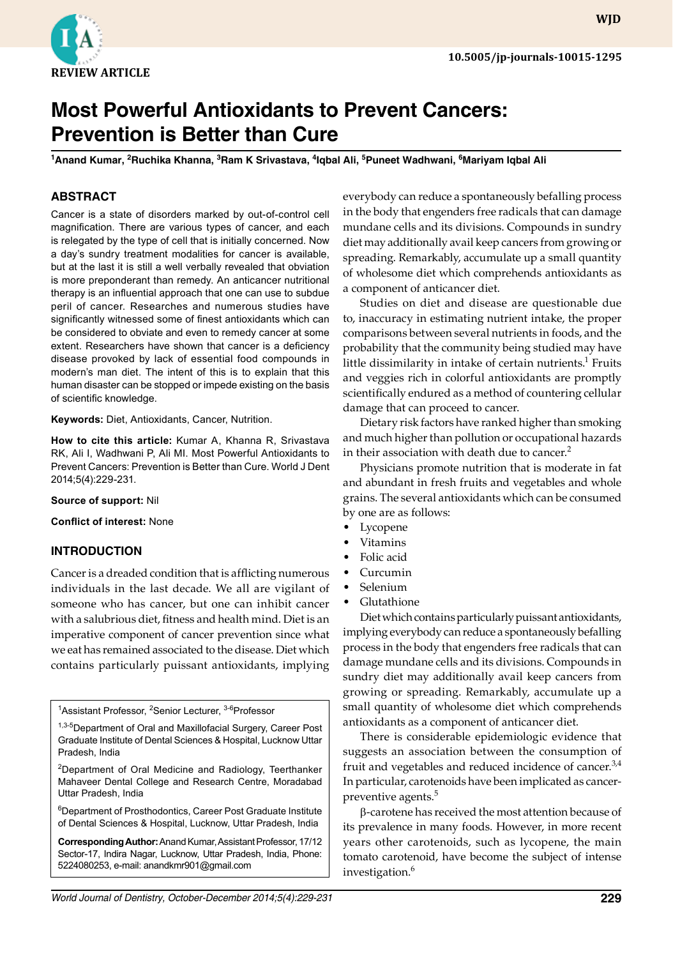

**WJD**

# **Most Powerful Antioxidants to Prevent Cancers: Prevention is Better than Cure**

<sup>1</sup>Anand Kumar, <sup>2</sup>Ruchika Khanna, <sup>3</sup>Ram K Srivastava, <sup>4</sup>Iqbal Ali, <sup>5</sup>Puneet Wadhwani, <sup>6</sup>Mariyam Iqbal Ali

# **ABSTRACT**

Cancer is a state of disorders marked by out-of-control cell magnification. There are various types of cancer, and each is relegated by the type of cell that is initially concerned. Now a day's sundry treatment modalities for cancer is available, but at the last it is still a well verbally revealed that obviation is more preponderant than remedy. An anticancer nutritional therapy is an influential approach that one can use to subdue peril of cancer. Researches and numerous studies have significantly witnessed some of finest antioxidants which can be considered to obviate and even to remedy cancer at some extent. Researchers have shown that cancer is a deficiency disease provoked by lack of essential food compounds in modern's man diet. The intent of this is to explain that this human disaster can be stopped or impede existing on the basis of scientific knowledge.

**Keywords:** Diet, Antioxidants, Cancer, Nutrition.

**How to cite this article:** Kumar A, Khanna R, Srivastava RK, Ali I, Wadhwani P, Ali MI. Most Powerful Antioxidants to Prevent Cancers: Prevention is Better than Cure. World J Dent 2014;5(4):229-231.

#### **Source of support:** Nil

**Conflict of interest:** None

#### **INTRODUCTION**

Cancer is a dreaded condition that is afflicting numerous individuals in the last decade. We all are vigilant of someone who has cancer, but one can inhibit cancer with a salubrious diet, fitness and health mind. Diet is an imperative component of cancer prevention since what we eat has remained associated to the disease. Diet which contains particularly puissant antioxidants, implying

<sup>1</sup>Assistant Professor, <sup>2</sup>Senior Lecturer, <sup>3-6</sup>Professor

1,3-5Department of Oral and Maxillofacial Surgery, Career Post Graduate Institute of Dental Sciences & Hospital, Lucknow Uttar Pradesh, India

<sup>2</sup>Department of Oral Medicine and Radiology, Teerthanker Mahaveer Dental College and Research Centre, Moradabad Uttar Pradesh, India

6 Department of Prosthodontics, Career Post Graduate Institute of Dental Sciences & Hospital, Lucknow, Uttar Pradesh, India

**Corresponding Author:** Anand Kumar, Assistant Professor, 17/12 Sector-17, Indira Nagar, Lucknow, Uttar Pradesh, India, Phone: 5224080253, e-mail: anandkmr901@gmail.com

everybody can reduce a spontaneously befalling process in the body that engenders free radicals that can damage mundane cells and its divisions. Compounds in sundry diet may additionally avail keep cancers from growing or spreading. Remarkably, accumulate up a small quantity of wholesome diet which comprehends antioxidants as a component of anticancer diet.

Studies on diet and disease are questionable due to, inaccuracy in estimating nutrient intake, the proper comparisons between several nutrients in foods, and the probability that the community being studied may have little dissimilarity in intake of certain nutrients. $1$  Fruits and veggies rich in colorful antioxidants are promptly scientifically endured as a method of countering cellular damage that can proceed to cancer.

Dietary risk factors have ranked higher than smoking and much higher than pollution or occupational hazards in their association with death due to cancer.<sup>2</sup>

Physicians promote nutrition that is moderate in fat and abundant in fresh fruits and vegetables and whole grains. The several antioxidants which can be consumed by one are as follows:

- **Lycopene**
- Vitamins
- Folic acid
- Curcumin
- Selenium
- Glutathione

Diet which contains particularly puissant antioxidants, implying everybody can reduce a spontaneously befalling process in the body that engenders free radicals that can damage mundane cells and its divisions. Compounds in sundry diet may additionally avail keep cancers from growing or spreading. Remarkably, accumulate up a small quantity of wholesome diet which comprehends antioxidants as a component of anticancer diet.

There is considerable epidemiologic evidence that suggests an association between the consumption of fruit and vegetables and reduced incidence of cancer.<sup>3,4</sup> In particular, carotenoids have been implicated as cancerpreventive agents.<sup>5</sup>

b-carotene has received the most attention because of its prevalence in many foods. However, in more recent years other carotenoids, such as lycopene, the main tomato carotenoid, have become the subject of intense investigation.<sup>6</sup>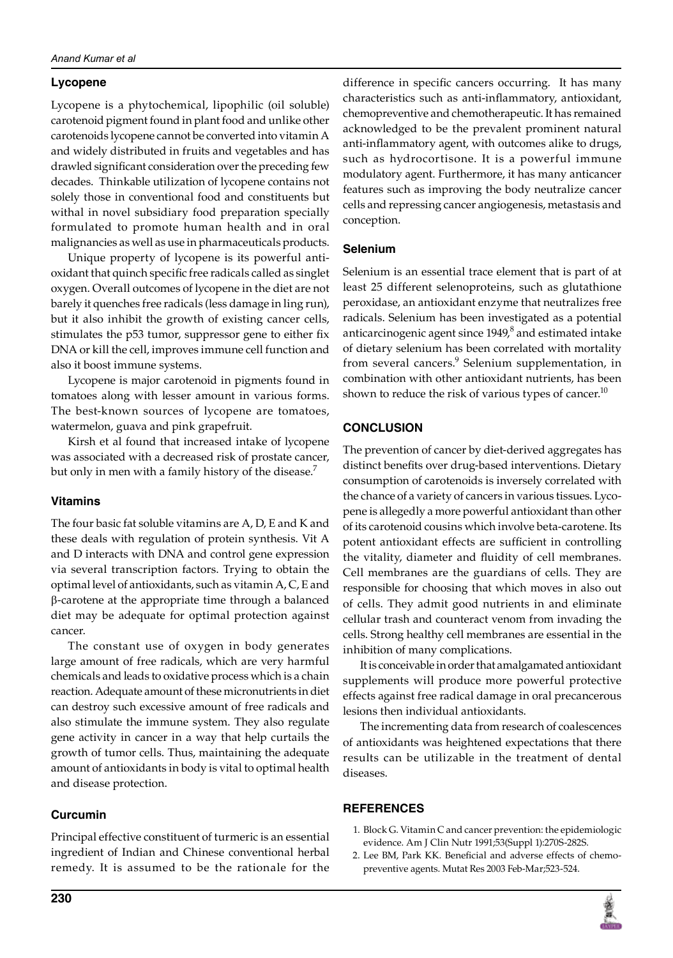# **Lycopene**

Lycopene is a phytochemical, lipophilic (oil soluble) carotenoid pigment found in plant food and unlike other carotenoids lycopene cannot be converted into vitamin A and widely distributed in fruits and vegetables and has drawled significant consideration over the preceding few decades. Thinkable utilization of lycopene contains not solely those in conventional food and constituents but withal in novel subsidiary food preparation specially formulated to promote human health and in oral malignancies as well as use in pharmaceuticals products.

Unique property of lycopene is its powerful antioxidant that quinch specific free radicals called as singlet oxygen. Overall outcomes of lycopene in the diet are not barely it quenches free radicals (less damage in ling run), but it also inhibit the growth of existing cancer cells, stimulates the p53 tumor, suppressor gene to either fix DNA or kill the cell, improves immune cell function and also it boost immune systems.

Lycopene is major carotenoid in pigments found in tomatoes along with lesser amount in various forms. The best-known sources of lycopene are tomatoes, watermelon, guava and pink grapefruit.

Kirsh et al found that increased intake of lycopene was associated with a decreased risk of prostate cancer, but only in men with a family history of the disease.<sup>7</sup>

### **Vitamins**

The four basic fat soluble vitamins are A, D, E and K and these deals with regulation of protein synthesis. Vit A and D interacts with DNA and control gene expression via several transcription factors. Trying to obtain the optimal level of antioxidants, such as vitamin A, C, E and b-carotene at the appropriate time through a balanced diet may be adequate for optimal protection against cancer.

The constant use of oxygen in body generates large amount of free radicals, which are very harmful chemicals and leads to oxidative process which is a chain reaction. Adequate amount of these micronutrients in diet can destroy such excessive amount of free radicals and also stimulate the immune system. They also regulate gene activity in cancer in a way that help curtails the growth of tumor cells. Thus, maintaining the adequate amount of antioxidants in body is vital to optimal health and disease protection.

### **Curcumin**

Principal effective constituent of turmeric is an essential ingredient of Indian and Chinese conventional herbal remedy. It is assumed to be the rationale for the difference in specific cancers occurring. It has many characteristics such as anti-inflammatory, antioxidant, chemopreventive and chemotherapeutic. It has remained acknowledged to be the prevalent prominent natural anti-inflammatory agent, with outcomes alike to drugs, such as hydrocortisone. It is a powerful immune modulatory agent. Furthermore, it has many anticancer features such as improving the body neutralize cancer cells and repressing cancer angiogenesis, metastasis and conception.

# **Selenium**

Selenium is an essential trace element that is part of at least 25 different selenoproteins, such as glutathione peroxidase, an antioxidant enzyme that neutralizes free radicals. Selenium has been investigated as a potential anticarcinogenic agent since 1949, $^8$  and estimated intake of dietary selenium has been correlated with mortality from several cancers.<sup>9</sup> Selenium supplementation, in combination with other antioxidant nutrients, has been shown to reduce the risk of various types of cancer.<sup>10</sup>

# **CONCLUSION**

The prevention of cancer by diet-derived aggregates has distinct benefits over drug-based interventions. Dietary consumption of carotenoids is inversely correlated with the chance of a variety of cancers in various tissues. Lycopene is allegedly a more powerful antioxidant than other of its carotenoid cousins which involve beta-carotene. Its potent antioxidant effects are sufficient in controlling the vitality, diameter and fluidity of cell membranes. Cell membranes are the guardians of cells. They are responsible for choosing that which moves in also out of cells. They admit good nutrients in and eliminate cellular trash and counteract venom from invading the cells. Strong healthy cell membranes are essential in the inhibition of many complications.

It is conceivable in order that amalgamated antioxidant supplements will produce more powerful protective effects against free radical damage in oral precancerous lesions then individual antioxidants.

The incrementing data from research of coalescences of antioxidants was heightened expectations that there results can be utilizable in the treatment of dental diseases.

### **References**

- 1. Block G. Vitamin C and cancer prevention: the epidemiologic evidence. Am J Clin Nutr 1991;53(Suppl 1):270S-282S.
- 2. Lee BM, Park KK. Beneficial and adverse effects of chemopreventive agents. Mutat Res 2003 Feb-Mar;523-524.